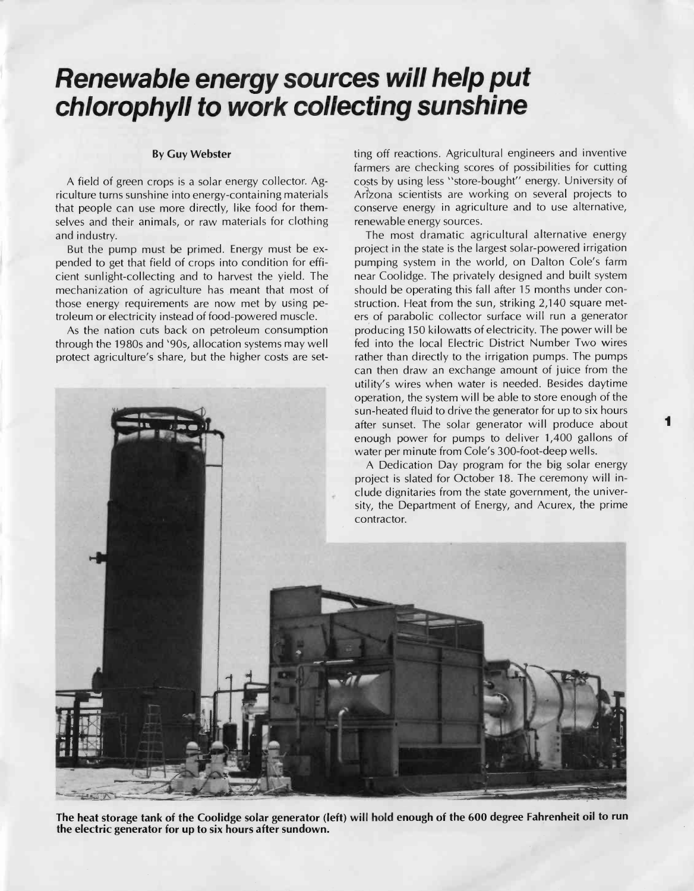# Renewable energy sources will help put chlorophyll to work collecting sunshine

## By Guy Webster

A field of green crops is a solar energy collector. Agriculture turns sunshine into energy- containing materials that people can use more directly, like food for themselves and their animals, or raw materials for clothing and industry.

But the pump must be primed. Energy must be expended to get that field of crops into condition for efficient sunlight -collecting and to harvest the yield. The mechanization of agriculture has meant that most of those energy requirements are now met by using petroleum or electricity instead of food -powered muscle.

As the nation cuts back on petroleum consumption through the 1980s and '90s, allocation systems may well protect agriculture's share, but the higher costs are set-

renewable energy sources. The most dramatic agricultural alternative energy project in the state is the largest solar -powered irrigation pumping system in the world, on Dalton Cole's farm near Coolidge. The privately designed and built system should be operating this fall after 15 months under construction. Heat from the sun, striking 2,140 square meters of parabolic collector surface will run a generator producing 150 kilowatts of electricity. The power will be fed into the local Electric District Number Two wires rather than directly to the irrigation pumps. The pumps can then draw an exchange amount of juice from the

ting off reactions. Agricultural engineers and inventive farmers are checking scores of possibilities for cutting costs by using less "store- bought" energy. University of Arizona scientists are working on several projects to conserve energy in agriculture and to use alternative,



The heat storage tank of the Coolidge solar generator (left) will hold enough of the 600 degree Fahrenheit oil to run the electric generator for up to six hours after sundown.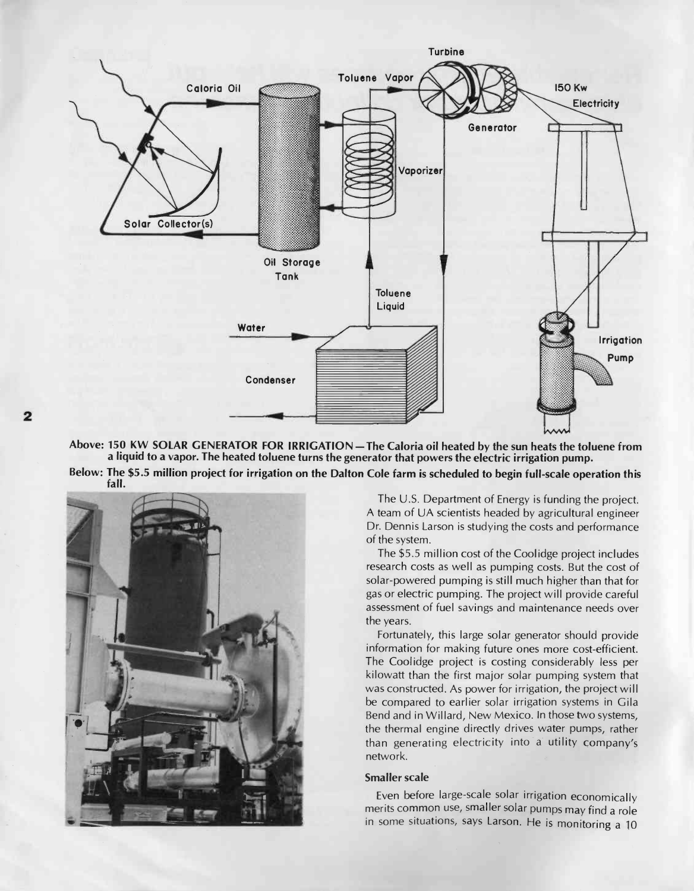

Above: 150 KW SOLAR GENERATOR FOR IRRIGATION - The Caloria oil heated by the sun heats the toluene from a liquid to a vapor. The heated toluene turns the generator that powers the electric irrigation pump.

Below: The \$5.5 million project for irrigation on the Dalton Cole farm is scheduled to begin full -scale operation this fall.



The U.S. Department of Energy is funding the project. A team of UA scientists headed by agricultural engineer Dr. Dennis Larson is studying the costs and performance of the system.

The \$5.5 million cost of the Coolidge project includes research costs as well as pumping costs. But the cost of solar-powered pumping is still much higher than that for gas or electric pumping. The project will provide careful assessment of fuel savings and maintenance needs over the years.

Fortunately, this large solar generator should provide information for making future ones more cost -efficient. The Coolidge project is costing considerably less per kilowatt than the first major solar pumping system that was constructed. As power for irrigation, the project will be compared to earlier solar irrigation systems in Gila Bend and in Willard, New Mexico. In those two systems, the thermal engine directly drives water pumps, rather than generating electricity into a utility company's network.

## Smaller scale

Even before large-scale solar irrigation economically merits common use, smaller solar pumps may find a role in some situations, says Larson. He is monitoring a 10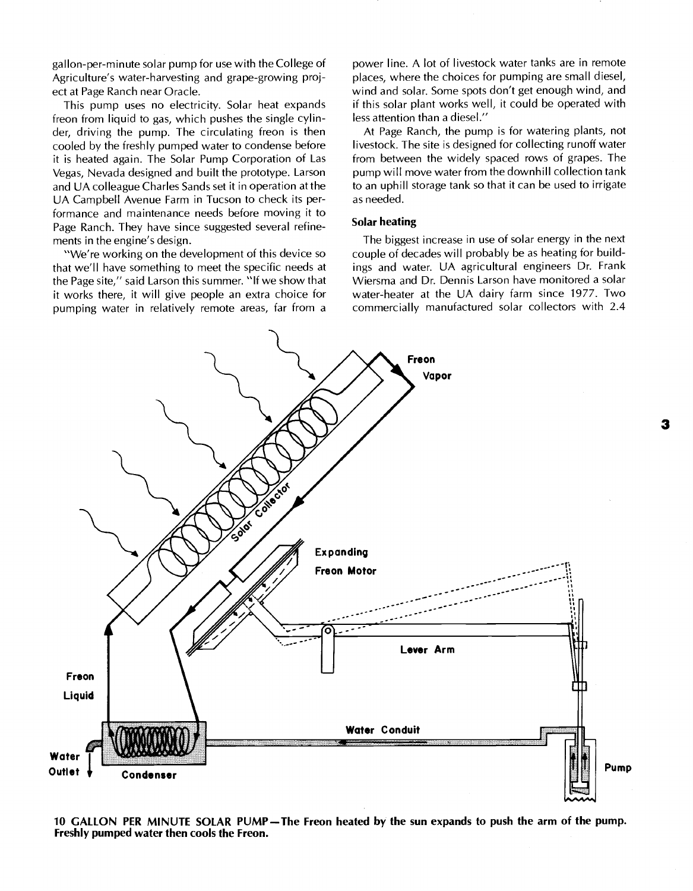gallon -per- minute solar pump for use with the College of Agriculture's water -harvesting and grape -growing project at Page Ranch near Oracle.

This pump uses no electricity. Solar heat expands freon from liquid to gas, which pushes the single cylinder, driving the pump. The circulating freon is then cooled by the freshly pumped water to condense before it is heated again. The Solar Pump Corporation of Las Vegas, Nevada designed and built the prototype. Larson and UA colleague Charles Sands set it in operation at the UA Campbell Avenue Farm in Tucson to check its performance and maintenance needs before moving it to Page Ranch. They have since suggested several refinements in the engine's design.

"We're working on the development of this device so that we'll have something to meet the specific needs at the Page site," said Larson this summer. "If we show that it works there, it will give people an extra choice for pumping water in relatively remote areas, far from a power line. A lot of livestock water tanks are in remote places, where the choices for pumping are small diesel, wind and solar. Some spots don't get enough wind, and if this solar plant works well, it could be operated with less attention than a diesel."

At Page Ranch, the pump is for watering plants, not livestock. The site is designed for collecting runoff water from between the widely spaced rows of grapes. The pump will move water from the downhill collection tank to an uphill storage tank so that it can be used to irrigate as needed.

### Solar heating

The biggest increase in use of solar energy in the next couple of decades will probably be as heating for buildings and water. UA agricultural engineers Dr. Frank Wiersma and Dr. Dennis Larson have monitored a solar water -heater at the UA dairy farm since 1977. Two commercially manufactured solar collectors with 2.4



10 GALLON PER MINUTE SOLAR PUMP—The Freon heated by the sun expands to push the arm of the pump. Freshly pumped water then cools the Freon.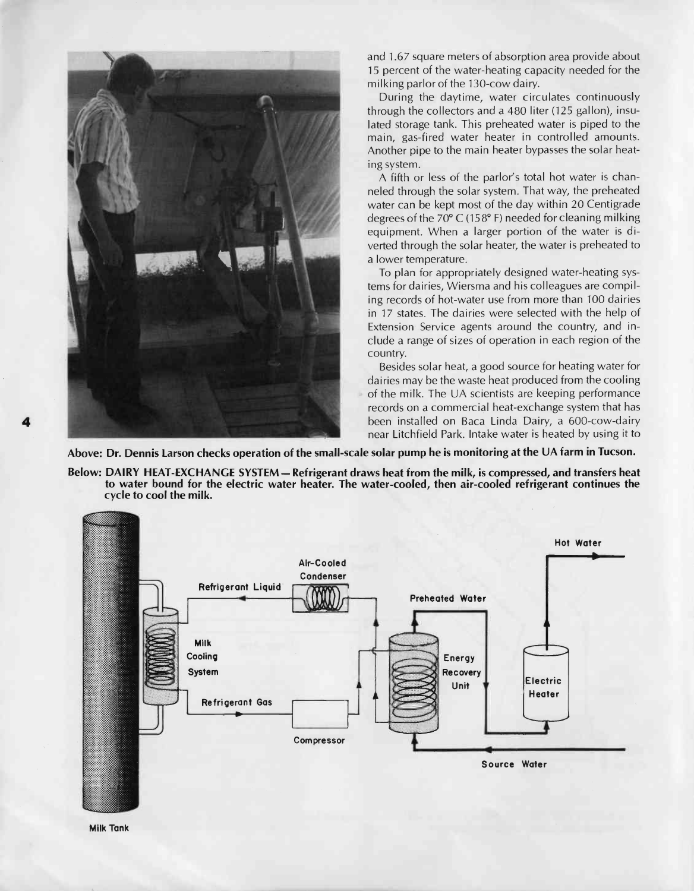

and 1.67 square meters of absorption area provide about 15 percent of the water -heating capacity needed for the milking parlor of the 130-cow dairy.

During the daytime, water circulates continuously through the collectors and a 480 liter (125 gallon), insulated storage tank. This preheated water is piped to the main, gas-fired water heater in controlled amounts. Another pipe to the main heater bypasses the solar heating system.

A fifth or less of the parlor's total hot water is channeled through the solar system. That way, the preheated water can be kept most of the day within 20 Centigrade degrees of the 70° C (158° F) needed for cleaning milking equipment. When a larger portion of the water is diverted through the solar heater, the water is preheated to a lower temperature.

To plan for appropriately designed water -heating systems for dairies, Wiersma and his colleagues are compiling records of hot-water use from more than 100 dairies in 17 states. The dairies were selected with the help of Extension Service agents around the country, and include a range of sizes of operation in each region of the country.

Besides solar heat, a good source for heating water for dairies may be the waste heat produced from the cooling of the milk. The UA scientists are keeping performance records on a commercial heat -exchange system that has been installed on Baca Linda Dairy, a 600-cow-dairy near Litchfield Park. Intake water is heated by using it to

Above: Dr. Dennis Larson checks operation of the small -scale solar pump he is monitoring at the UA farm in Tucson.

Below: DAIRY HEAT -EXCHANGE SYSTEM- Refrigerant draws heat from the milk, is compressed, and transfers heat to water bound for the electric water heater. The water -cooled, then air -cooled refrigerant continues the cycle to cool the milk.



Milk Tank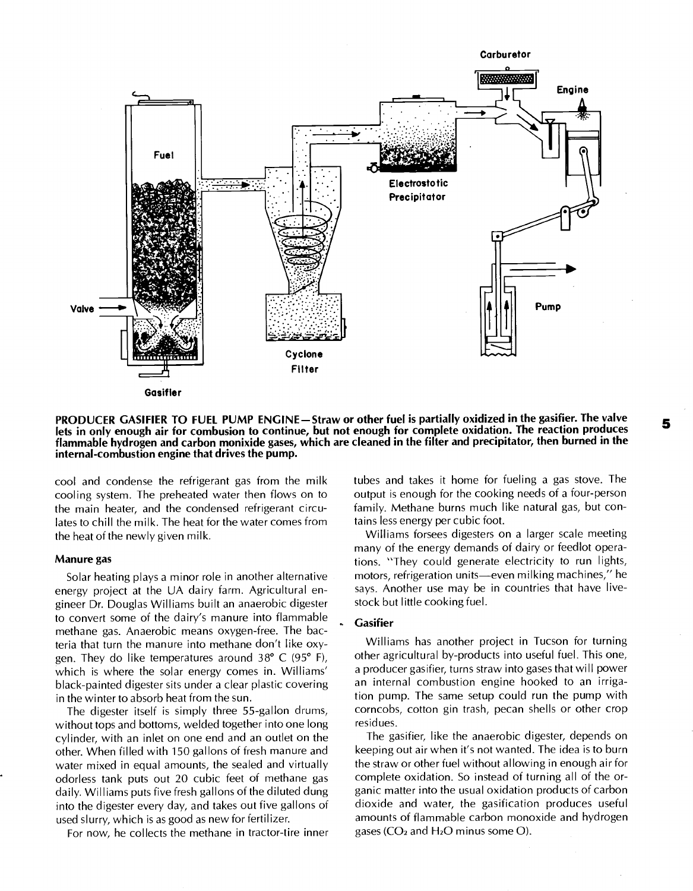

PRODUCER GASIFIER TO FUEL PUMP ENGINE - Straw or other fuel is partially oxidized in the gasifier. The valve lets in only enough air for combusion to continue, but not enough for complete oxidation. The reaction produces flammable hydrogen and carbon monixide gases, which are cleaned in the filter and precipitator, then burned in the internal- combustion engine that drives the pump.

cool and condense the refrigerant gas from the milk cooling system. The preheated water then flows on to the main heater, and the condensed refrigerant circulates to chill the milk. The heat for the water comes from the heat of the newly given milk.

### Manure gas

Solar heating plays a minor role in another alternative energy project at the UA dairy farm. Agricultural engineer Dr. Douglas Williams built an anaerobic digester to convert some of the dairy's manure into flammable methane gas. Anaerobic means oxygen -free. The bacteria that turn the manure into methane don't like oxygen. They do like temperatures around 38° C (95° F), which is where the solar energy comes in. Williams' black -painted digester sits under a clear plastic covering in the winter to absorb heat from the sun.

The digester itself is simply three 55-gallon drums, without tops and bottoms, welded together into one long cylinder, with an inlet on one end and an outlet on the other. When filled with 150 gallons of fresh manure and water mixed in equal amounts, the sealed and virtually odorless tank puts out 20 cubic feet of methane gas daily. Williams puts five fresh gallons of the diluted dung into the digester every day, and takes out five gallons of used slurry, which is as good as new for fertilizer.

For now, he collects the methane in tractor-tire inner

tubes and takes it home for fueling a gas stove. The output is enough for the cooking needs of a four -person family. Methane burns much like natural gas, but contains less energy per cubic foot.

Williams forsees digesters on a larger scale meeting many of the energy demands of dairy or feedlot operations. "They could generate electricity to run lights, motors, refrigeration units-even milking machines," he says. Another use may be in countries that have livestock but little cooking fuel.

## **Gasifier**

Williams has another project in Tucson for turning other agricultural by-products into useful fuel. This one, a producer gasifier, turns straw into gases that will power an internal combustion engine hooked to an irrigation pump. The same setup could run the pump with corncobs, cotton gin trash, pecan shells or other crop residues.

The gasifier, like the anaerobic digester, depends on keeping out air when it's not wanted. The idea is to burn the straw or other fuel without allowing in enough air for complete oxidation. So instead of turning all of the organic matter into the usual oxidation products of carbon dioxide and water, the gasification produces useful amounts of flammable carbon monoxide and hydrogen gases ( $CO<sub>2</sub>$  and  $H<sub>2</sub>O$  minus some O).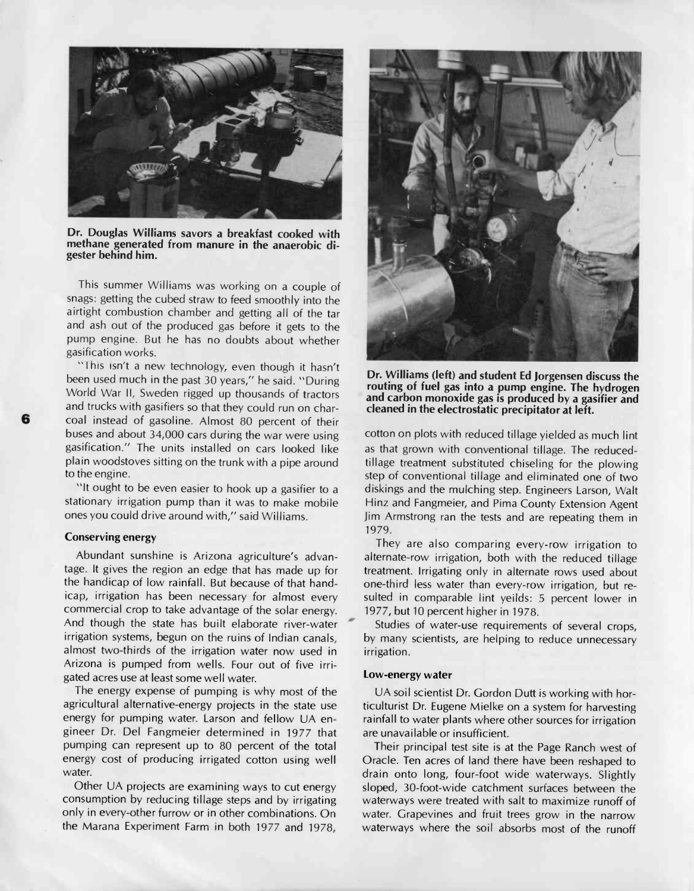

Dr. Douglas Williams savors a breakfast cooked with methane generated from manure in the anaerobic digester behind him.

This summer Williams was working on a couple of snags: getting the cubed straw to feed smoothly into the airtight combustion chamber and getting all of the tar and ash out of the produced gas before it gets to the pump engine. But he has no doubts about whether gasification works.

"This isn't a new technology, even though it hasn't been used much in the past 30 years," he said. "During World War II, Sweden rigged up thousands of tractors and trucks with gasifiers so that they could run on char-<br>coal instead of gasoline. Almost 80 percent of their buses and about 34,000 cars during the war were using gasification." The units installed on cars looked like plain woodstoves sitting on the trunk with a pipe around to the engine.

"It ought to be even easier to hook up a gasifier to a stationary irrigation pump than it was to make mobile ones you could drive around with," said Williams.

## Conserving energy

Abundant sunshine is Arizona agriculture's advantage. It gives the region an edge that has made up for the handicap of low rainfall. But because of that handicap, irrigation has been necessary for almost every commercial crop to take advantage of the solar energy. And though the state has built elaborate river -water irrigation systems, begun on the ruins of Indian canals, almost two -thirds of the irrigation water now used in Arizona is pumped from wells. Four out of five irrigated acres use at least some well water.

The energy expense of pumping is why most of the agricultural alternative-energy projects in the state use energy for pumping water. Larson and fellow UA engineer Dr. Del Fangmeier determined in 1977 that pumping can represent up to 80 percent of the total energy cost of producing irrigated cotton using well water.

Other UA projects are examining ways to cut energy consumption by reducing tillage steps and by irrigating only in every -other furrow or in other combinations. On the Marana Experiment Farm in both 1977 and 1978,



Dr. Williams (left) and student Ed Jorgensen discuss the routing of fuel gas into a pump engine. The hydrogen and carbon monoxide gas is produced by a gasifier and cleaned in the electrostatic precipitator at left.

cotton on plots with reduced tillage yielded as much lint as that grown with conventional tillage. The reducedtillage treatment substituted chiseling for the plowing step of conventional tillage and eliminated one of two diskings and the mulching step. Engineers Larson, Walt Hinz and Fangmeier, and Pima County Extension Agent Jim Armstrong ran the tests and are repeating them in 1979.

They are also comparing every-row irrigation to alternate -row irrigation, both with the reduced tillage treatment. Irrigating only in alternate rows used about one-third less water than every-row irrigation, but resulted in comparable lint yeilds: 5 percent lower in 1977, but 10 percent higher in 1978.

Studies of water-use requirements of several crops, by many scientists, are helping to reduce unnecessary irrigation.

## Low -energy water

UA soil scientist Dr. Gordon Dutt is working with horticulturist Dr. Eugene Mielke on a system for harvesting rainfall to water plants where other sources for irrigation are unavailable or insufficient.

Their principal test site is at the Page Ranch west of Oracle. Ten acres of land there have been reshaped to drain onto long, four -foot wide waterways. Slightly sloped, 30-foot-wide catchment surfaces between the waterways were treated with salt to maximize runoff of water. Grapevines and fruit trees grow in the narrow waterways where the soil absorbs most of the runoff